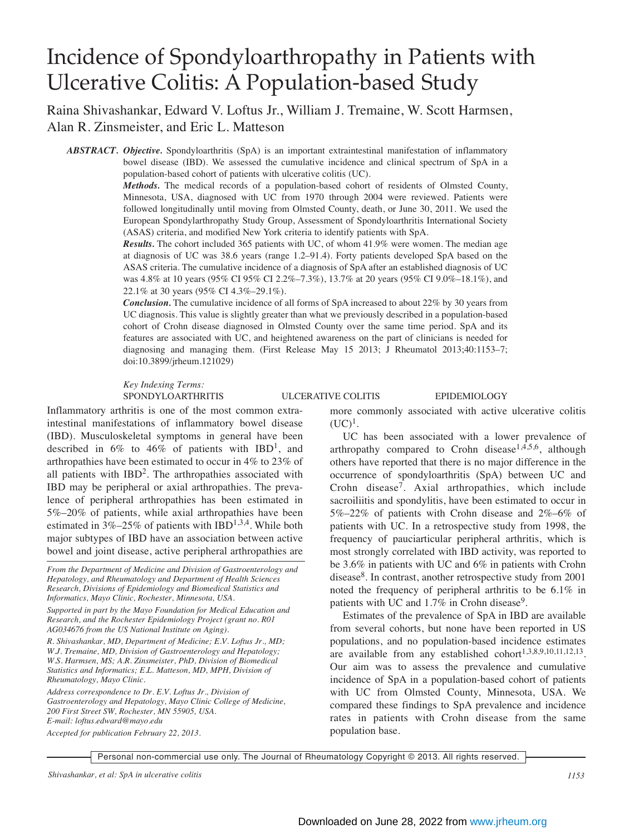# Incidence of Spondyloarthropathy in Patients with Ulcerative Colitis: A Population-based Study

Raina Shivashankar, Edward V. Loftus Jr., William J. Tremaine, W. Scott Harmsen, Alan R. Zinsmeister, and Eric L. Matteson

*ABSTRACT. Objective.* Spondyloarthritis (SpA) is an important extraintestinal manifestation of inflammatory bowel disease (IBD). We assessed the cumulative incidence and clinical spectrum of SpA in a population-based cohort of patients with ulcerative colitis (UC).

> *Methods.* The medical records of a population-based cohort of residents of Olmsted County, Minnesota, USA, diagnosed with UC from 1970 through 2004 were reviewed. Patients were followed longitudinally until moving from Olmsted County, death, or June 30, 2011. We used the European Spondylarthropathy Study Group, Assessment of Spondyloarthritis International Society (ASAS) criteria, and modified New York criteria to identify patients with SpA.

> *Results.* The cohort included 365 patients with UC, of whom 41.9% were women. The median age at diagnosis of UC was 38.6 years (range 1.2–91.4). Forty patients developed SpA based on the ASAS criteria. The cumulative incidence of a diagnosis of SpA after an established diagnosis of UC was 4.8% at 10 years (95% CI 95% CI 2.2%–7.3%), 13.7% at 20 years (95% CI 9.0%–18.1%), and 22.1% at 30 years (95% CI 4.3%–29.1%).

> *Conclusion.* The cumulative incidence of all forms of SpA increased to about 22% by 30 years from UC diagnosis. This value is slightly greater than what we previously described in a population-based cohort of Crohn disease diagnosed in Olmsted County over the same time period. SpA and its features are associated with UC, and heightened awareness on the part of clinicians is needed for diagnosing and managing them. (First Release May 15 2013; J Rheumatol 2013;40:1153–7; doi:10.3899/jrheum.121029)

# *Key Indexing Terms:* SPONDYLOARTHRITIS ULCERATIVE COLITIS EPIDEMIOLOGY

# Inflammatory arthritis is one of the most common extraintestinal manifestations of inflammatory bowel disease (IBD). Musculoskeletal symptoms in general have been described in  $6\%$  to  $46\%$  of patients with IBD<sup>1</sup>, and arthropathies have been estimated to occur in 4% to 23% of all patients with IBD2. The arthropathies associated with IBD may be peripheral or axial arthropathies. The prevalence of peripheral arthropathies has been estimated in 5%–20% of patients, while axial arthropathies have been estimated in  $3\% - 25\%$  of patients with IBD<sup>1,3,4</sup>. While both major subtypes of IBD have an association between active bowel and joint disease, active peripheral arthropathies are

*From the Department of Medicine and Division of Gastroenterology and Hepatology, and Rheumatology and Department of Health Sciences Research, Divisions of Epidemiology and Biomedical Statistics and Informatics, Mayo Clinic, Rochester, Minnesota, USA.*

*Supported in part by the Mayo Foundation for Medical Education and Research, and the Rochester Epidemiology Project (grant no. R01 AG034676 from the US National Institute on Aging).*

*R. Shivashankar, MD, Department of Medicine; E.V. Loftus Jr., MD; W.J. Tremaine, MD, Division of Gastroenterology and Hepatology; W.S. Harmsen, MS; A.R. Zinsmeister, PhD, Division of Biomedical Statistics and Informatics; E.L. Matteson, MD, MPH, Division of Rheumatology, Mayo Clinic.*

*Address correspondence to Dr. E.V. Loftus Jr., Division of Gastroenterology and Hepatology, Mayo Clinic College of Medicine, 200 First Street SW, Rochester, MN 55905, USA. E-mail: loftus.edward@mayo.edu*

*Accepted for publication February 22, 2013.*

more commonly associated with active ulcerative colitis  $(UC)^1$ .

UC has been associated with a lower prevalence of arthropathy compared to Crohn disease<sup>1,4,5,6</sup>, although others have reported that there is no major difference in the occurrence of spondyloarthritis (SpA) between UC and Crohn disease<sup>7</sup>. Axial arthropathies, which include sacroiliitis and spondylitis, have been estimated to occur in 5%–22% of patients with Crohn disease and 2%–6% of patients with UC. In a retrospective study from 1998, the frequency of pauciarticular peripheral arthritis, which is most strongly correlated with IBD activity, was reported to be 3.6% in patients with UC and 6% in patients with Crohn disease<sup>8</sup>. In contrast, another retrospective study from 2001 noted the frequency of peripheral arthritis to be 6.1% in patients with UC and  $1.7\%$  in Crohn disease<sup>9</sup>.

Estimates of the prevalence of SpA in IBD are available from several cohorts, but none have been reported in US populations, and no population-based incidence estimates are available from any established cohort<sup>1,3,8,9,10,11,12,13</sup>. Our aim was to assess the prevalence and cumulative incidence of SpA in a population-based cohort of patients with UC from Olmsted County, Minnesota, USA. We compared these findings to SpA prevalence and incidence rates in patients with Crohn disease from the same population base.

Personal non-commercial use only. The Journal of Rheumatology Copyright © 2013. All rights reserved.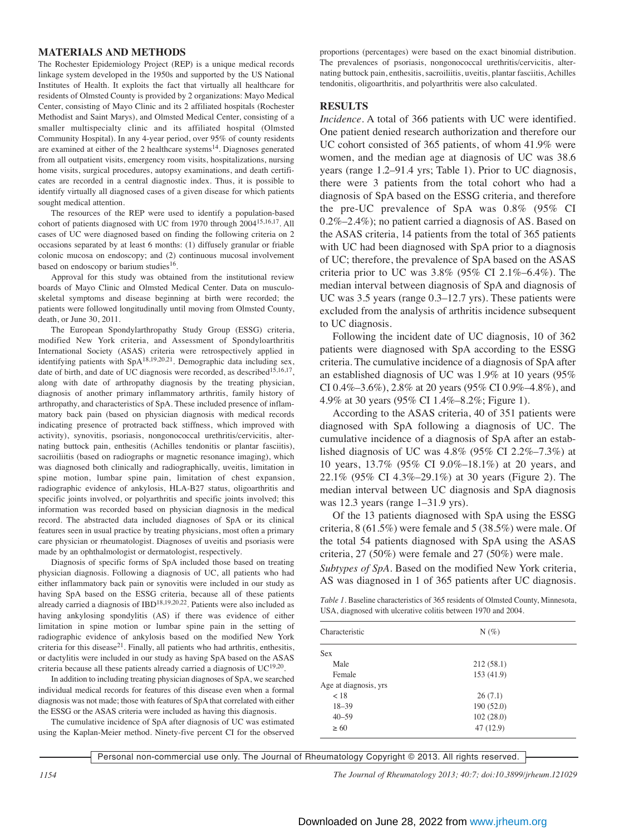# **MATERIALS AND METHODS**

The Rochester Epidemiology Project (REP) is a unique medical records linkage system developed in the 1950s and supported by the US National Institutes of Health. It exploits the fact that virtually all healthcare for residents of Olmsted County is provided by 2 organizations: Mayo Medical Center, consisting of Mayo Clinic and its 2 affiliated hospitals (Rochester Methodist and Saint Marys), and Olmsted Medical Center, consisting of a smaller multispecialty clinic and its affiliated hospital (Olmsted Community Hospital). In any 4-year period, over 95% of county residents are examined at either of the 2 healthcare systems<sup>14</sup>. Diagnoses generated from all outpatient visits, emergency room visits, hospitalizations, nursing home visits, surgical procedures, autopsy examinations, and death certificates are recorded in a central diagnostic index. Thus, it is possible to identify virtually all diagnosed cases of a given disease for which patients sought medical attention.

The resources of the REP were used to identify a population-based cohort of patients diagnosed with UC from 1970 through 200415,16,17. All cases of UC were diagnosed based on finding the following criteria on 2 occasions separated by at least 6 months: (1) diffusely granular or friable colonic mucosa on endoscopy; and (2) continuous mucosal involvement based on endoscopy or barium studies<sup>16</sup>.

Approval for this study was obtained from the institutional review boards of Mayo Clinic and Olmsted Medical Center. Data on musculoskeletal symptoms and disease beginning at birth were recorded; the patients were followed longitudinally until moving from Olmsted County, death, or June 30, 2011.

The European Spondylarthropathy Study Group (ESSG) criteria, modified New York criteria, and Assessment of Spondyloarthritis International Society (ASAS) criteria were retrospectively applied in identifying patients with SpA18,19,20,21. Demographic data including sex, date of birth, and date of UC diagnosis were recorded, as described<sup>15,16,17</sup>, along with date of arthropathy diagnosis by the treating physician, diagnosis of another primary inflammatory arthritis, family history of arthropathy, and characteristics of SpA. These included presence of inflammatory back pain (based on physician diagnosis with medical records indicating presence of protracted back stiffness, which improved with activity), synovitis, psoriasis, nongonococcal urethritis/cervicitis, alternating buttock pain, enthesitis (Achilles tendonitis or plantar fasciitis), sacroiliitis (based on radiographs or magnetic resonance imaging), which was diagnosed both clinically and radiographically, uveitis, limitation in spine motion, lumbar spine pain, limitation of chest expansion, radiographic evidence of ankylosis, HLA-B27 status, oligoarthritis and specific joints involved, or polyarthritis and specific joints involved; this information was recorded based on physician diagnosis in the medical record. The abstracted data included diagnoses of SpA or its clinical features seen in usual practice by treating physicians, most often a primary care physician or rheumatologist. Diagnoses of uveitis and psoriasis were made by an ophthalmologist or dermatologist, respectively.

Diagnosis of specific forms of SpA included those based on treating physician diagnosis. Following a diagnosis of UC, all patients who had either inflammatory back pain or synovitis were included in our study as having SpA based on the ESSG criteria, because all of these patients already carried a diagnosis of IBD18,19,20,22. Patients were also included as having ankylosing spondylitis (AS) if there was evidence of either limitation in spine motion or lumbar spine pain in the setting of radiographic evidence of ankylosis based on the modified New York criteria for this disease<sup>21</sup>. Finally, all patients who had arthritis, enthesitis, or dactylitis were included in our study as having SpA based on the ASAS criteria because all these patients already carried a diagnosis of  $UC^{19,20}$ .

In addition to including treating physician diagnoses of SpA, we searched individual medical records for features of this disease even when a formal diagnosis was not made; those with features of SpA that correlated with either the ESSG or the ASAS criteria were included as having this diagnosis.

The cumulative incidence of SpA after diagnosis of UC was estimated using the Kaplan-Meier method. Ninety-five percent CI for the observed

proportions (percentages) were based on the exact binomial distribution. The prevalences of psoriasis, nongonococcal urethritis/cervicitis, alternating buttock pain, enthesitis, sacroiliitis, uveitis, plantar fasciitis, Achilles tendonitis, oligoarthritis, and polyarthritis were also calculated.

# **RESULTS**

*Incidence.* A total of 366 patients with UC were identified. One patient denied research authorization and therefore our UC cohort consisted of 365 patients, of whom 41.9% were women, and the median age at diagnosis of UC was 38.6 years (range 1.2–91.4 yrs; Table 1). Prior to UC diagnosis, there were 3 patients from the total cohort who had a diagnosis of SpA based on the ESSG criteria, and therefore the pre-UC prevalence of SpA was 0.8% (95% CI 0.2%–2.4%); no patient carried a diagnosis of AS. Based on the ASAS criteria, 14 patients from the total of 365 patients with UC had been diagnosed with SpA prior to a diagnosis of UC; therefore, the prevalence of SpA based on the ASAS criteria prior to UC was 3.8% (95% CI 2.1%–6.4%). The median interval between diagnosis of SpA and diagnosis of UC was 3.5 years (range 0.3–12.7 yrs). These patients were excluded from the analysis of arthritis incidence subsequent to UC diagnosis.

Following the incident date of UC diagnosis, 10 of 362 patients were diagnosed with SpA according to the ESSG criteria. The cumulative incidence of a diagnosis of SpA after an established diagnosis of UC was 1.9% at 10 years (95% CI 0.4%–3.6%), 2.8% at 20 years (95% CI 0.9%–4.8%), and 4.9% at 30 years (95% CI 1.4%–8.2%; Figure 1).

According to the ASAS criteria, 40 of 351 patients were diagnosed with SpA following a diagnosis of UC. The cumulative incidence of a diagnosis of SpA after an established diagnosis of UC was  $4.8\%$  (95% CI 2.2%–7.3%) at 10 years, 13.7% (95% CI 9.0%–18.1%) at 20 years, and 22.1% (95% CI 4.3%–29.1%) at 30 years (Figure 2). The median interval between UC diagnosis and SpA diagnosis was 12.3 years (range 1–31.9 yrs).

Of the 13 patients diagnosed with SpA using the ESSG criteria, 8 (61.5%) were female and 5 (38.5%) were male. Of the total 54 patients diagnosed with SpA using the ASAS criteria, 27 (50%) were female and 27 (50%) were male.

*Subtypes of SpA.* Based on the modified New York criteria, AS was diagnosed in 1 of 365 patients after UC diagnosis.

*Table 1.* Baseline characteristics of 365 residents of Olmsted County, Minnesota, USA, diagnosed with ulcerative colitis between 1970 and 2004.

| Characteristic        | $N(\%)$    |  |
|-----------------------|------------|--|
| Sex                   |            |  |
| Male                  | 212(58.1)  |  |
| Female                | 153(41.9)  |  |
| Age at diagnosis, yrs |            |  |
| < 18                  | 26(7.1)    |  |
| $18 - 39$             | 190 (52.0) |  |
| $40 - 59$             | 102(28.0)  |  |
| $\geq 60$             | 47 (12.9)  |  |

Personal non-commercial use only. The Journal of Rheumatology Copyright © 2013. All rights reserved.

*1154 The Journal of Rheumatology 2013; 40:7; doi:10.3899/jrheum.121029*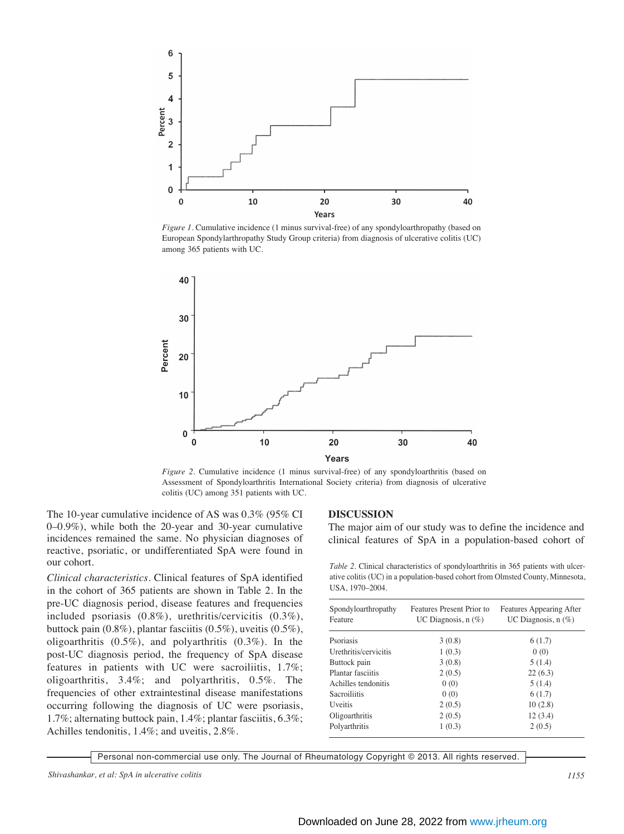

*Figure 1.* Cumulative incidence (1 minus survival-free) of any spondyloarthropathy (based on European Spondylarthropathy Study Group criteria) from diagnosis of ulcerative colitis (UC) among 365 patients with UC.



*Figure 2.* Cumulative incidence (1 minus survival-free) of any spondyloarthritis (based on Assessment of Spondyloarthritis International Society criteria) from diagnosis of ulcerative colitis (UC) among 351 patients with UC.

The 10-year cumulative incidence of AS was 0.3% (95% CI 0–0.9%), while both the 20-year and 30-year cumulative incidences remained the same. No physician diagnoses of reactive, psoriatic, or undifferentiated SpA were found in our cohort.

*Clinical characteristics.* Clinical features of SpA identified in the cohort of 365 patients are shown in Table 2. In the pre-UC diagnosis period, disease features and frequencies included psoriasis (0.8%), urethritis/cervicitis (0.3%), buttock pain (0.8%), plantar fasciitis (0.5%), uveitis (0.5%), oligoarthritis (0.5%), and polyarthritis (0.3%). In the post-UC diagnosis period, the frequency of SpA disease features in patients with UC were sacroiliitis, 1.7%; oligoarthritis, 3.4%; and polyarthritis, 0.5%. The frequencies of other extraintestinal disease manifestations occurring following the diagnosis of UC were psoriasis, 1.7%; alternating buttock pain, 1.4%; plantar fasciitis, 6.3%; Achilles tendonitis, 1.4%; and uveitis, 2.8%.

# **DISCUSSION**

The major aim of our study was to define the incidence and clinical features of SpA in a population-based cohort of

| <i>Table 2.</i> Clinical characteristics of spondyloarthritis in 365 patients with ulcer- |  |
|-------------------------------------------------------------------------------------------|--|
| ative colitis (UC) in a population-based cohort from Olmsted County, Minnesota,           |  |
| USA, 1970–2004.                                                                           |  |

| Spondyloarthropathy<br>Feature | Features Present Prior to<br>UC Diagnosis, $n$ $(\%)$ | Features Appearing After<br>UC Diagnosis, $n$ $(\%)$ |
|--------------------------------|-------------------------------------------------------|------------------------------------------------------|
| Psoriasis                      | 3(0.8)                                                | 6(1.7)                                               |
| Urethritis/cervicitis          | 1(0.3)                                                | 0(0)                                                 |
| Buttock pain                   | 3(0.8)                                                | 5(1.4)                                               |
| Plantar fasciitis              | 2(0.5)                                                | 22(6.3)                                              |
| Achilles tendonitis            | 0(0)                                                  | 5(1.4)                                               |
| Sacroiliitis                   | 0(0)                                                  | 6(1.7)                                               |
| <b>Uveitis</b>                 | 2(0.5)                                                | 10(2.8)                                              |
| Oligoarthritis                 | 2(0.5)                                                | 12(3.4)                                              |
| Polyarthritis                  | 1(0.3)                                                | 2(0.5)                                               |

Personal non-commercial use only. The Journal of Rheumatology Copyright © 2013. All rights reserved.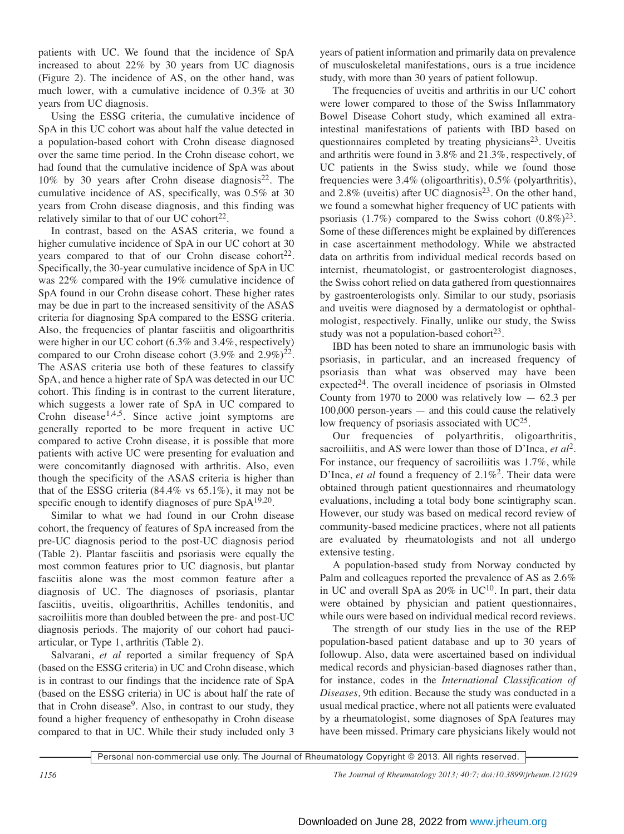patients with UC. We found that the incidence of SpA increased to about 22% by 30 years from UC diagnosis (Figure 2). The incidence of AS, on the other hand, was much lower, with a cumulative incidence of 0.3% at 30 years from UC diagnosis.

Using the ESSG criteria, the cumulative incidence of SpA in this UC cohort was about half the value detected in a population-based cohort with Crohn disease diagnosed over the same time period. In the Crohn disease cohort, we had found that the cumulative incidence of SpA was about  $10\%$  by 30 years after Crohn disease diagnosis<sup>22</sup>. The cumulative incidence of AS, specifically, was 0.5% at 30 years from Crohn disease diagnosis, and this finding was relatively similar to that of our UC cohort $22$ .

In contrast, based on the ASAS criteria, we found a higher cumulative incidence of SpA in our UC cohort at 30 years compared to that of our Crohn disease cohort<sup>22</sup>. Specifically, the 30-year cumulative incidence of SpA in UC was 22% compared with the 19% cumulative incidence of SpA found in our Crohn disease cohort. These higher rates may be due in part to the increased sensitivity of the ASAS criteria for diagnosing SpA compared to the ESSG criteria. Also, the frequencies of plantar fasciitis and oligoarthritis were higher in our UC cohort (6.3% and 3.4%, respectively) compared to our Crohn disease cohort  $(3.9\% \text{ and } 2.9\%)^{22}$ . The ASAS criteria use both of these features to classify SpA, and hence a higher rate of SpA was detected in our UC cohort. This finding is in contrast to the current literature, which suggests a lower rate of SpA in UC compared to Crohn disease<sup>1,4,5</sup>. Since active joint symptoms are generally reported to be more frequent in active UC compared to active Crohn disease, it is possible that more patients with active UC were presenting for evaluation and were concomitantly diagnosed with arthritis. Also, even though the specificity of the ASAS criteria is higher than that of the ESSG criteria (84.4% vs 65.1%), it may not be specific enough to identify diagnoses of pure  $SpA^{19,20}$ .

Similar to what we had found in our Crohn disease cohort, the frequency of features of SpA increased from the pre-UC diagnosis period to the post-UC diagnosis period (Table 2). Plantar fasciitis and psoriasis were equally the most common features prior to UC diagnosis, but plantar fasciitis alone was the most common feature after a diagnosis of UC. The diagnoses of psoriasis, plantar fasciitis, uveitis, oligoarthritis, Achilles tendonitis, and sacroiliitis more than doubled between the pre- and post-UC diagnosis periods. The majority of our cohort had pauciarticular, or Type 1, arthritis (Table 2).

Salvarani, *et al* reported a similar frequency of SpA (based on the ESSG criteria) in UC and Crohn disease, which is in contrast to our findings that the incidence rate of SpA (based on the ESSG criteria) in UC is about half the rate of that in Crohn disease<sup>9</sup>. Also, in contrast to our study, they found a higher frequency of enthesopathy in Crohn disease compared to that in UC. While their study included only 3 years of patient information and primarily data on prevalence of musculoskeletal manifestations, ours is a true incidence study, with more than 30 years of patient followup.

The frequencies of uveitis and arthritis in our UC cohort were lower compared to those of the Swiss Inflammatory Bowel Disease Cohort study, which examined all extraintestinal manifestations of patients with IBD based on questionnaires completed by treating physicians<sup>23</sup>. Uveitis and arthritis were found in 3.8% and 21.3%, respectively, of UC patients in the Swiss study, while we found those frequencies were 3.4% (oligoarthritis), 0.5% (polyarthritis), and  $2.8\%$  (uveitis) after UC diagnosis<sup>23</sup>. On the other hand, we found a somewhat higher frequency of UC patients with psoriasis (1.7%) compared to the Swiss cohort  $(0.8\%)^{23}$ . Some of these differences might be explained by differences in case ascertainment methodology. While we abstracted data on arthritis from individual medical records based on internist, rheumatologist, or gastroenterologist diagnoses, the Swiss cohort relied on data gathered from questionnaires by gastroenterologists only. Similar to our study, psoriasis and uveitis were diagnosed by a dermatologist or ophthalmologist, respectively. Finally, unlike our study, the Swiss study was not a population-based cohort<sup>23</sup>.

IBD has been noted to share an immunologic basis with psoriasis, in particular, and an increased frequency of psoriasis than what was observed may have been expected $24$ . The overall incidence of psoriasis in Olmsted County from 1970 to 2000 was relatively low  $-62.3$  per 100,000 person-years — and this could cause the relatively low frequency of psoriasis associated with  $UC^{25}$ .

Our frequencies of polyarthritis, oligoarthritis, sacroiliitis, and AS were lower than those of D'Inca, *et al*2. For instance, our frequency of sacroiliitis was 1.7%, while D'Inca, *et al* found a frequency of 2.1%<sup>2</sup>. Their data were obtained through patient questionnaires and rheumatology evaluations, including a total body bone scintigraphy scan. However, our study was based on medical record review of community-based medicine practices, where not all patients are evaluated by rheumatologists and not all undergo extensive testing.

A population-based study from Norway conducted by Palm and colleagues reported the prevalence of AS as 2.6% in UC and overall SpA as  $20\%$  in UC<sup>10</sup>. In part, their data were obtained by physician and patient questionnaires, while ours were based on individual medical record reviews.

The strength of our study lies in the use of the REP population-based patient database and up to 30 years of followup. Also, data were ascertained based on individual medical records and physician-based diagnoses rather than, for instance, codes in the *International Classification of Diseases,* 9th edition. Because the study was conducted in a usual medical practice, where not all patients were evaluated by a rheumatologist, some diagnoses of SpA features may have been missed. Primary care physicians likely would not

Personal non-commercial use only. The Journal of Rheumatology Copyright © 2013. All rights reserved.

*1156 The Journal of Rheumatology 2013; 40:7; doi:10.3899/jrheum.121029*